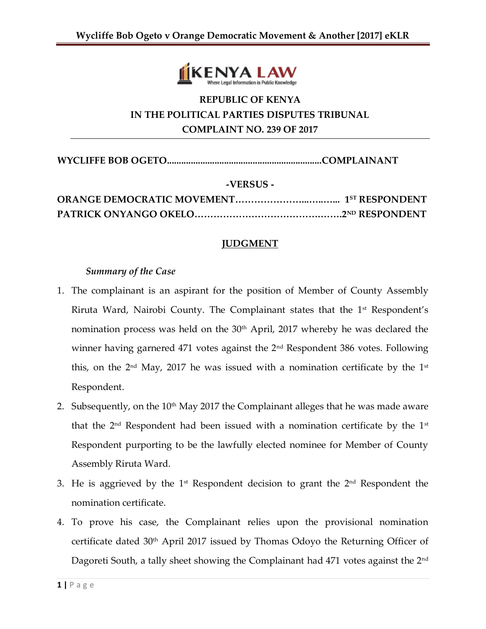

## **REPUBLIC OF KENYA IN THE POLITICAL PARTIES DISPUTES TRIBUNAL COMPLAINT NO. 239 OF 2017**

**WYCLIFFE BOB OGETO.................................................................COMPLAINANT**

**-VERSUS -**

## **JUDGMENT**

## *Summary of the Case*

- 1. The complainant is an aspirant for the position of Member of County Assembly Riruta Ward, Nairobi County. The Complainant states that the 1<sup>st</sup> Respondent's nomination process was held on the 30<sup>th</sup> April, 2017 whereby he was declared the winner having garnered 471 votes against the 2<sup>nd</sup> Respondent 386 votes. Following this, on the  $2<sup>nd</sup>$  May, 2017 he was issued with a nomination certificate by the  $1<sup>st</sup>$ Respondent.
- 2. Subsequently, on the  $10<sup>th</sup>$  May 2017 the Complainant alleges that he was made aware that the  $2<sup>nd</sup>$  Respondent had been issued with a nomination certificate by the  $1<sup>st</sup>$ Respondent purporting to be the lawfully elected nominee for Member of County Assembly Riruta Ward.
- 3. He is aggrieved by the  $1<sup>st</sup>$  Respondent decision to grant the  $2<sup>nd</sup>$  Respondent the nomination certificate.
- 4. To prove his case, the Complainant relies upon the provisional nomination certificate dated 30th April 2017 issued by Thomas Odoyo the Returning Officer of Dagoreti South, a tally sheet showing the Complainant had 471 votes against the 2<sup>nd</sup>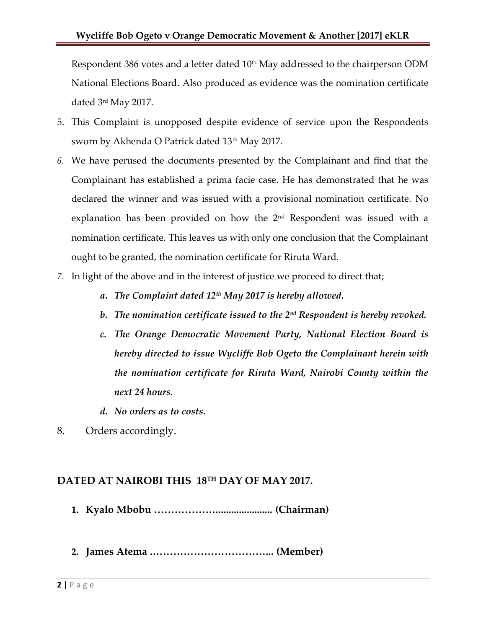Respondent 386 votes and a letter dated  $10<sup>th</sup>$  May addressed to the chairperson ODM National Elections Board. Also produced as evidence was the nomination certificate dated 3rd May 2017.

- 5. This Complaint is unopposed despite evidence of service upon the Respondents sworn by Akhenda O Patrick dated 13<sup>th</sup> May 2017.
- *6.* We have perused the documents presented by the Complainant and find that the Complainant has established a prima facie case. He has demonstrated that he was declared the winner and was issued with a provisional nomination certificate. No explanation has been provided on how the  $2<sup>nd</sup>$  Respondent was issued with a nomination certificate. This leaves us with only one conclusion that the Complainant ought to be granted, the nomination certificate for Riruta Ward.
- *7.* In light of the above and in the interest of justice we proceed to direct that;
	- *a. The Complaint dated 12th May 2017 is hereby allowed.*
	- *b. The nomination certificate issued to the 2nd Respondent is hereby revoked.*
	- *c. The Orange Democratic Movement Party, National Election Board is hereby directed to issue Wycliffe Bob Ogeto the Complainant herein with the nomination certificate for Riruta Ward, Nairobi County within the next 24 hours.*
	- *d. No orders as to costs.*
- 8. Orders accordingly.

## **DATED AT NAIROBI THIS 18TH DAY OF MAY 2017.**

- **1. Kyalo Mbobu ………………...................... (Chairman)**
- **2. James Atema .……………………………... (Member)**